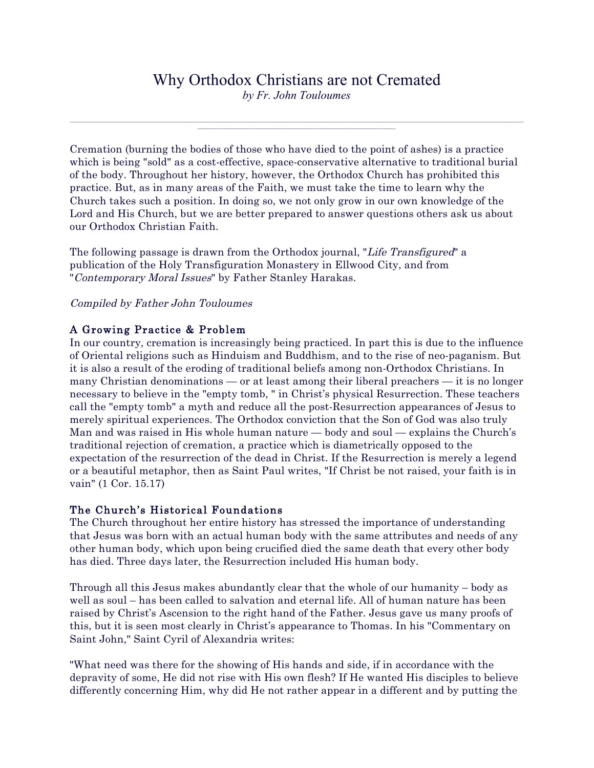# Why Orthodox Christians are not Cremated

*by Fr. John Touloumes* 

 $\_$  , and the state of the state of the state of the state of the state of the state of the state of the state of the state of the state of the state of the state of the state of the state of the state of the state of the

Cremation (burning the bodies of those who have died to the point of ashes) is a practice which is being "sold" as a cost-effective, space-conservative alternative to traditional burial of the body. Throughout her history, however, the Orthodox Church has prohibited this practice. But, as in many areas of the Faith, we must take the time to learn why the Church takes such a position. In doing so, we not only grow in our own knowledge of the Lord and His Church, but we are better prepared to answer questions others ask us about our Orthodox Christian Faith.

The following passage is drawn from the Orthodox journal, "Life Transfigured" a publication of the Holy Transfiguration Monastery in Ellwood City, and from "Contemporary Moral Issues" by Father Stanley Harakas.

## Compiled by Father John Touloumes

## A Growing Practice & Problem

In our country, cremation is increasingly being practiced. In part this is due to the influence of Oriental religions such as Hinduism and Buddhism, and to the rise of neo-paganism. But it is also a result of the eroding of traditional beliefs among non-Orthodox Christians. In many Christian denominations — or at least among their liberal preachers — it is no longer necessary to believe in the "empty tomb, " in Christ's physical Resurrection. These teachers call the "empty tomb" a myth and reduce all the post-Resurrection appearances of Jesus to merely spiritual experiences. The Orthodox conviction that the Son of God was also truly Man and was raised in His whole human nature — body and soul — explains the Church's traditional rejection of cremation, a practice which is diametrically opposed to the expectation of the resurrection of the dead in Christ. If the Resurrection is merely a legend or a beautiful metaphor, then as Saint Paul writes, "If Christ be not raised, your faith is in vain" (1 Cor. 15.17)

## The Church's Historical Foundations

The Church throughout her entire history has stressed the importance of understanding that Jesus was born with an actual human body with the same attributes and needs of any other human body, which upon being crucified died the same death that every other body has died. Three days later, the Resurrection included His human body.

Through all this Jesus makes abundantly clear that the whole of our humanity – body as well as soul – has been called to salvation and eternal life. All of human nature has been raised by Christ's Ascension to the right hand of the Father. Jesus gave us many proofs of this, but it is seen most clearly in Christ's appearance to Thomas. In his "Commentary on Saint John," Saint Cyril of Alexandria writes:

"What need was there for the showing of His hands and side, if in accordance with the depravity of some, He did not rise with His own flesh? If He wanted His disciples to believe differently concerning Him, why did He not rather appear in a different and by putting the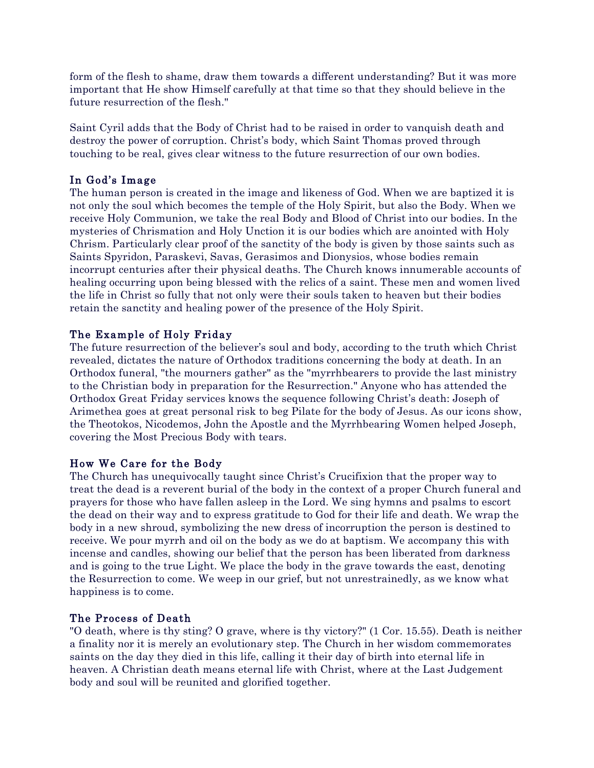form of the flesh to shame, draw them towards a different understanding? But it was more important that He show Himself carefully at that time so that they should believe in the future resurrection of the flesh."

Saint Cyril adds that the Body of Christ had to be raised in order to vanquish death and destroy the power of corruption. Christ's body, which Saint Thomas proved through touching to be real, gives clear witness to the future resurrection of our own bodies.

# In God's Image

The human person is created in the image and likeness of God. When we are baptized it is not only the soul which becomes the temple of the Holy Spirit, but also the Body. When we receive Holy Communion, we take the real Body and Blood of Christ into our bodies. In the mysteries of Chrismation and Holy Unction it is our bodies which are anointed with Holy Chrism. Particularly clear proof of the sanctity of the body is given by those saints such as Saints Spyridon, Paraskevi, Savas, Gerasimos and Dionysios, whose bodies remain incorrupt centuries after their physical deaths. The Church knows innumerable accounts of healing occurring upon being blessed with the relics of a saint. These men and women lived the life in Christ so fully that not only were their souls taken to heaven but their bodies retain the sanctity and healing power of the presence of the Holy Spirit.

## The Example of Holy Friday

The future resurrection of the believer's soul and body, according to the truth which Christ revealed, dictates the nature of Orthodox traditions concerning the body at death. In an Orthodox funeral, "the mourners gather" as the "myrrhbearers to provide the last ministry to the Christian body in preparation for the Resurrection." Anyone who has attended the Orthodox Great Friday services knows the sequence following Christ's death: Joseph of Arimethea goes at great personal risk to beg Pilate for the body of Jesus. As our icons show, the Theotokos, Nicodemos, John the Apostle and the Myrrhbearing Women helped Joseph, covering the Most Precious Body with tears.

## How We Care for the Body

The Church has unequivocally taught since Christ's Crucifixion that the proper way to treat the dead is a reverent burial of the body in the context of a proper Church funeral and prayers for those who have fallen asleep in the Lord. We sing hymns and psalms to escort the dead on their way and to express gratitude to God for their life and death. We wrap the body in a new shroud, symbolizing the new dress of incorruption the person is destined to receive. We pour myrrh and oil on the body as we do at baptism. We accompany this with incense and candles, showing our belief that the person has been liberated from darkness and is going to the true Light. We place the body in the grave towards the east, denoting the Resurrection to come. We weep in our grief, but not unrestrainedly, as we know what happiness is to come.

## The Process of Death

"O death, where is thy sting? O grave, where is thy victory?" (1 Cor. 15.55). Death is neither a finality nor it is merely an evolutionary step. The Church in her wisdom commemorates saints on the day they died in this life, calling it their day of birth into eternal life in heaven. A Christian death means eternal life with Christ, where at the Last Judgement body and soul will be reunited and glorified together.